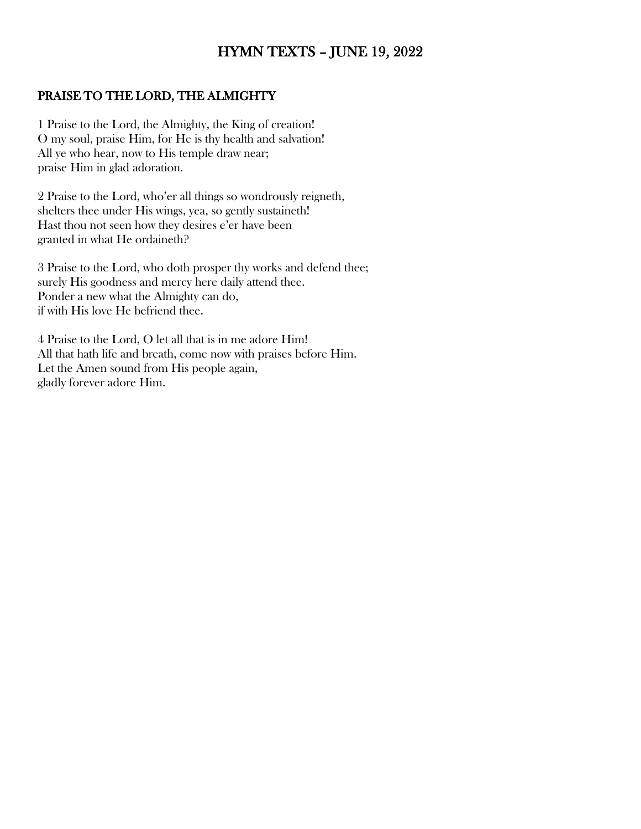# HYMN TEXTS – JUNE 19, 2022

#### PRAISE TO THE LORD, THE ALMIGHTY

1 Praise to the Lord, the Almighty, the King of creation! O my soul, praise Him, for He is thy health and salvation! All ye who hear, now to His temple draw near; praise Him in glad adoration.

2 Praise to the Lord, who'er all things so wondrously reigneth, shelters thee under His wings, yea, so gently sustaineth! Hast thou not seen how they desires e'er have been granted in what He ordaineth?

3 Praise to the Lord, who doth prosper thy works and defend thee; surely His goodness and mercy here daily attend thee. Ponder a new what the Almighty can do, if with His love He befriend thee.

4 Praise to the Lord, O let all that is in me adore Him! All that hath life and breath, come now with praises before Him. Let the Amen sound from His people again, gladly forever adore Him.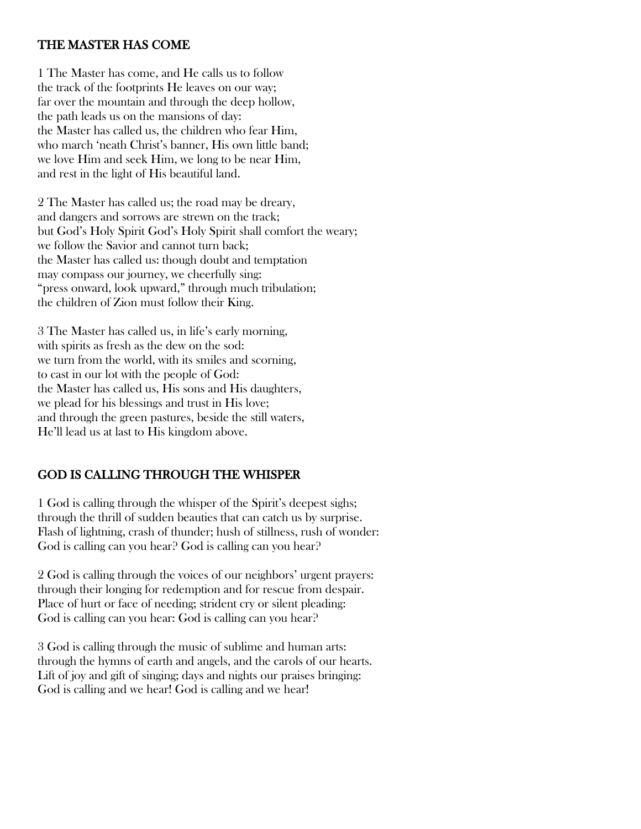#### THE MASTER HAS COME

1 The Master has come, and He calls us to follow the track of the footprints He leaves on our way; far over the mountain and through the deep hollow, the path leads us on the mansions of day: the Master has called us, the children who fear Him, who march 'neath Christ's banner, His own little band; we love Him and seek Him, we long to be near Him, and rest in the light of His beautiful land.

2 The Master has called us; the road may be dreary, and dangers and sorrows are strewn on the track; but God's Holy Spirit God's Holy Spirit shall comfort the weary; we follow the Savior and cannot turn back; the Master has called us: though doubt and temptation may compass our journey, we cheerfully sing: "press onward, look upward," through much tribulation; the children of Zion must follow their King.

3 The Master has called us, in life's early morning, with spirits as fresh as the dew on the sod: we turn from the world, with its smiles and scorning, to cast in our lot with the people of God: the Master has called us, His sons and His daughters, we plead for his blessings and trust in His love; and through the green pastures, beside the still waters, He'll lead us at last to His kingdom above.

### GOD IS CALLING THROUGH THE WHISPER

1 God is calling through the whisper of the Spirit's deepest sighs; through the thrill of sudden beauties that can catch us by surprise. Flash of lightning, crash of thunder; hush of stillness, rush of wonder: God is calling can you hear? God is calling can you hear?

2 God is calling through the voices of our neighbors' urgent prayers: through their longing for redemption and for rescue from despair. Place of hurt or face of needing; strident cry or silent pleading: God is calling can you hear: God is calling can you hear?

3 God is calling through the music of sublime and human arts: through the hymns of earth and angels, and the carols of our hearts. Lift of joy and gift of singing; days and nights our praises bringing: God is calling and we hear! God is calling and we hear!